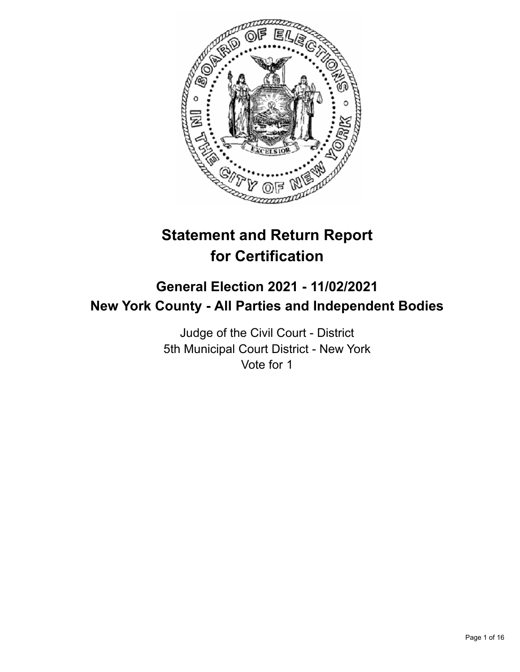

# **Statement and Return Report for Certification**

# **General Election 2021 - 11/02/2021 New York County - All Parties and Independent Bodies**

Judge of the Civil Court - District 5th Municipal Court District - New York Vote for 1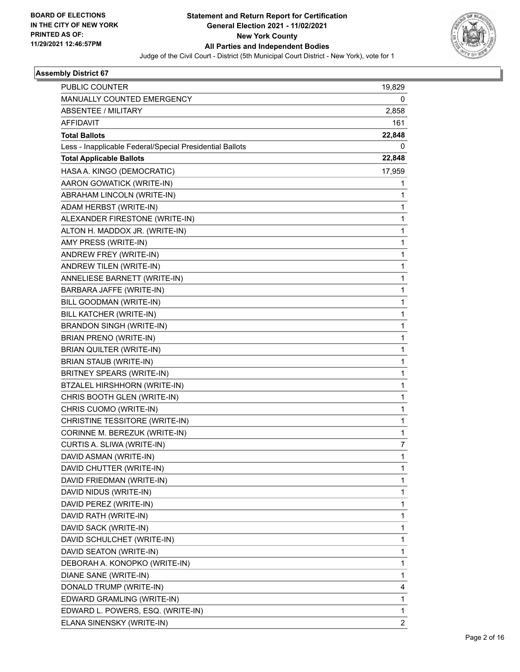

| PUBLIC COUNTER                                           | 19,829       |
|----------------------------------------------------------|--------------|
| MANUALLY COUNTED EMERGENCY                               | 0            |
| <b>ABSENTEE / MILITARY</b>                               | 2,858        |
| <b>AFFIDAVIT</b>                                         | 161          |
| <b>Total Ballots</b>                                     | 22,848       |
| Less - Inapplicable Federal/Special Presidential Ballots | 0            |
| <b>Total Applicable Ballots</b>                          | 22,848       |
| HASA A. KINGO (DEMOCRATIC)                               | 17,959       |
| AARON GOWATICK (WRITE-IN)                                | 1            |
| ABRAHAM LINCOLN (WRITE-IN)                               | 1            |
| ADAM HERBST (WRITE-IN)                                   | $\mathbf{1}$ |
| ALEXANDER FIRESTONE (WRITE-IN)                           | 1            |
| ALTON H. MADDOX JR. (WRITE-IN)                           | 1            |
| AMY PRESS (WRITE-IN)                                     | 1            |
| ANDREW FREY (WRITE-IN)                                   | 1            |
| ANDREW TILEN (WRITE-IN)                                  | 1            |
| ANNELIESE BARNETT (WRITE-IN)                             | 1            |
| BARBARA JAFFE (WRITE-IN)                                 | 1            |
| BILL GOODMAN (WRITE-IN)                                  | 1            |
| BILL KATCHER (WRITE-IN)                                  | 1            |
| <b>BRANDON SINGH (WRITE-IN)</b>                          | 1            |
| <b>BRIAN PRENO (WRITE-IN)</b>                            | 1            |
| BRIAN QUILTER (WRITE-IN)                                 | 1            |
| <b>BRIAN STAUB (WRITE-IN)</b>                            | 1            |
| BRITNEY SPEARS (WRITE-IN)                                | 1            |
| BTZALEL HIRSHHORN (WRITE-IN)                             | 1            |
| CHRIS BOOTH GLEN (WRITE-IN)                              | 1            |
| CHRIS CUOMO (WRITE-IN)                                   | 1            |
| CHRISTINE TESSITORE (WRITE-IN)                           | 1            |
| CORINNE M. BEREZUK (WRITE-IN)                            | 1            |
| CURTIS A. SLIWA (WRITE-IN)                               | 7            |
| DAVID ASMAN (WRITE-IN)                                   | 1            |
| DAVID CHUTTER (WRITE-IN)                                 | 1            |
| DAVID FRIEDMAN (WRITE-IN)                                | 1            |
| DAVID NIDUS (WRITE-IN)                                   | 1            |
| DAVID PEREZ (WRITE-IN)                                   | 1            |
| DAVID RATH (WRITE-IN)                                    | 1            |
| DAVID SACK (WRITE-IN)                                    | 1            |
| DAVID SCHULCHET (WRITE-IN)                               | 1            |
| DAVID SEATON (WRITE-IN)                                  | 1            |
| DEBORAH A. KONOPKO (WRITE-IN)                            | 1            |
| DIANE SANE (WRITE-IN)                                    | 1            |
| DONALD TRUMP (WRITE-IN)                                  | 4            |
| EDWARD GRAMLING (WRITE-IN)                               | 1            |
| EDWARD L. POWERS, ESQ. (WRITE-IN)                        | 1            |
| ELANA SINENSKY (WRITE-IN)                                | 2            |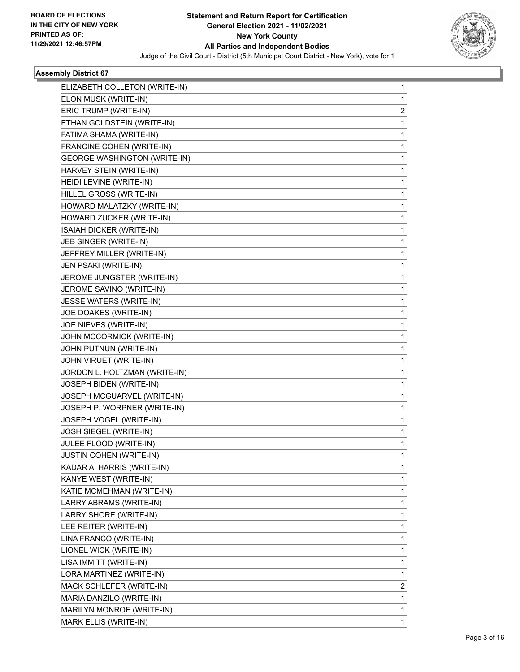

| ELIZABETH COLLETON (WRITE-IN)       | 1 |
|-------------------------------------|---|
| ELON MUSK (WRITE-IN)                | 1 |
| ERIC TRUMP (WRITE-IN)               | 2 |
| ETHAN GOLDSTEIN (WRITE-IN)          | 1 |
| FATIMA SHAMA (WRITE-IN)             | 1 |
| FRANCINE COHEN (WRITE-IN)           | 1 |
| <b>GEORGE WASHINGTON (WRITE-IN)</b> | 1 |
| HARVEY STEIN (WRITE-IN)             | 1 |
| HEIDI LEVINE (WRITE-IN)             | 1 |
| HILLEL GROSS (WRITE-IN)             | 1 |
| HOWARD MALATZKY (WRITE-IN)          | 1 |
| HOWARD ZUCKER (WRITE-IN)            | 1 |
| ISAIAH DICKER (WRITE-IN)            | 1 |
| JEB SINGER (WRITE-IN)               | 1 |
| JEFFREY MILLER (WRITE-IN)           | 1 |
| JEN PSAKI (WRITE-IN)                | 1 |
| JEROME JUNGSTER (WRITE-IN)          | 1 |
| JEROME SAVINO (WRITE-IN)            | 1 |
| JESSE WATERS (WRITE-IN)             | 1 |
| JOE DOAKES (WRITE-IN)               | 1 |
| JOE NIEVES (WRITE-IN)               | 1 |
| JOHN MCCORMICK (WRITE-IN)           | 1 |
| JOHN PUTNUN (WRITE-IN)              | 1 |
| JOHN VIRUET (WRITE-IN)              | 1 |
| JORDON L. HOLTZMAN (WRITE-IN)       | 1 |
| JOSEPH BIDEN (WRITE-IN)             | 1 |
| JOSEPH MCGUARVEL (WRITE-IN)         | 1 |
| JOSEPH P. WORPNER (WRITE-IN)        | 1 |
| JOSEPH VOGEL (WRITE-IN)             | 1 |
| JOSH SIEGEL (WRITE-IN)              | 1 |
| JULEE FLOOD (WRITE-IN)              | 1 |
| <b>JUSTIN COHEN (WRITE-IN)</b>      | 1 |
| KADAR A. HARRIS (WRITE-IN)          | 1 |
| KANYE WEST (WRITE-IN)               | 1 |
| KATIE MCMEHMAN (WRITE-IN)           | 1 |
| LARRY ABRAMS (WRITE-IN)             | 1 |
| LARRY SHORE (WRITE-IN)              | 1 |
| LEE REITER (WRITE-IN)               | 1 |
| LINA FRANCO (WRITE-IN)              | 1 |
| LIONEL WICK (WRITE-IN)              | 1 |
| LISA IMMITT (WRITE-IN)              | 1 |
| LORA MARTINEZ (WRITE-IN)            | 1 |
| MACK SCHLEFER (WRITE-IN)            | 2 |
| MARIA DANZILO (WRITE-IN)            | 1 |
| MARILYN MONROE (WRITE-IN)           | 1 |
| MARK ELLIS (WRITE-IN)               | 1 |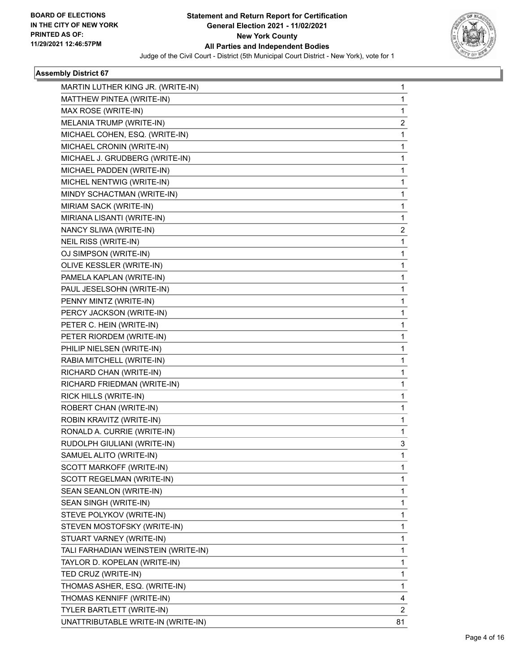

| MARTIN LUTHER KING JR. (WRITE-IN)   | 1  |
|-------------------------------------|----|
| MATTHEW PINTEA (WRITE-IN)           | 1  |
| MAX ROSE (WRITE-IN)                 | 1  |
| MELANIA TRUMP (WRITE-IN)            | 2  |
| MICHAEL COHEN, ESQ. (WRITE-IN)      | 1  |
| MICHAEL CRONIN (WRITE-IN)           | 1  |
| MICHAEL J. GRUDBERG (WRITE-IN)      | 1  |
| MICHAEL PADDEN (WRITE-IN)           | 1  |
| MICHEL NENTWIG (WRITE-IN)           | 1  |
| MINDY SCHACTMAN (WRITE-IN)          | 1  |
| MIRIAM SACK (WRITE-IN)              | 1  |
| MIRIANA LISANTI (WRITE-IN)          | 1  |
| NANCY SLIWA (WRITE-IN)              | 2  |
| NEIL RISS (WRITE-IN)                | 1  |
| OJ SIMPSON (WRITE-IN)               | 1  |
| OLIVE KESSLER (WRITE-IN)            | 1  |
| PAMELA KAPLAN (WRITE-IN)            | 1  |
| PAUL JESELSOHN (WRITE-IN)           | 1  |
| PENNY MINTZ (WRITE-IN)              | 1  |
| PERCY JACKSON (WRITE-IN)            | 1  |
| PETER C. HEIN (WRITE-IN)            | 1  |
| PETER RIORDEM (WRITE-IN)            | 1  |
| PHILIP NIELSEN (WRITE-IN)           | 1  |
| RABIA MITCHELL (WRITE-IN)           | 1  |
| RICHARD CHAN (WRITE-IN)             | 1  |
| RICHARD FRIEDMAN (WRITE-IN)         | 1  |
| RICK HILLS (WRITE-IN)               | 1  |
| ROBERT CHAN (WRITE-IN)              | 1  |
| ROBIN KRAVITZ (WRITE-IN)            | 1  |
| RONALD A. CURRIE (WRITE-IN)         | 1  |
| RUDOLPH GIULIANI (WRITE-IN)         | 3  |
| SAMUEL ALITO (WRITE-IN)             | 1  |
| SCOTT MARKOFF (WRITE-IN)            | 1  |
| SCOTT REGELMAN (WRITE-IN)           | 1  |
| SEAN SEANLON (WRITE-IN)             | 1  |
| SEAN SINGH (WRITE-IN)               | 1  |
| STEVE POLYKOV (WRITE-IN)            | 1  |
| STEVEN MOSTOFSKY (WRITE-IN)         | 1  |
| STUART VARNEY (WRITE-IN)            | 1  |
| TALI FARHADIAN WEINSTEIN (WRITE-IN) | 1  |
| TAYLOR D. KOPELAN (WRITE-IN)        | 1  |
| TED CRUZ (WRITE-IN)                 | 1  |
| THOMAS ASHER, ESQ. (WRITE-IN)       | 1  |
| THOMAS KENNIFF (WRITE-IN)           | 4  |
| TYLER BARTLETT (WRITE-IN)           | 2  |
| UNATTRIBUTABLE WRITE-IN (WRITE-IN)  | 81 |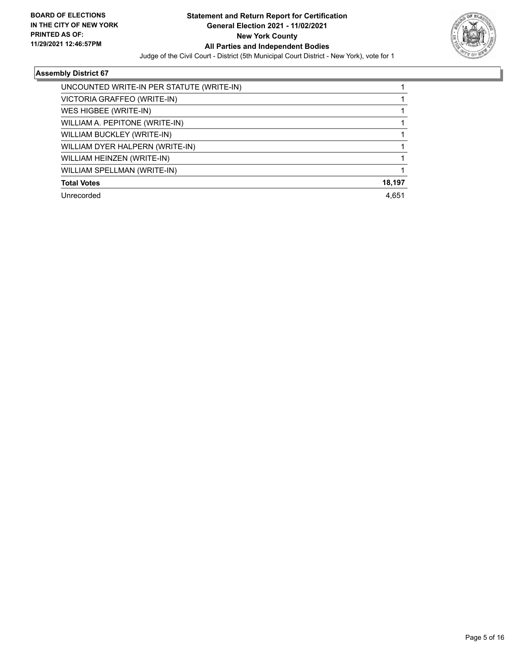

| UNCOUNTED WRITE-IN PER STATUTE (WRITE-IN) |        |
|-------------------------------------------|--------|
| VICTORIA GRAFFEO (WRITE-IN)               |        |
| WES HIGBEE (WRITE-IN)                     |        |
| WILLIAM A. PEPITONE (WRITE-IN)            |        |
| WILLIAM BUCKLEY (WRITE-IN)                |        |
| WILLIAM DYER HALPERN (WRITE-IN)           |        |
| WILLIAM HEINZEN (WRITE-IN)                |        |
| WILLIAM SPELLMAN (WRITE-IN)               |        |
| <b>Total Votes</b>                        | 18,197 |
| Unrecorded                                | 4.651  |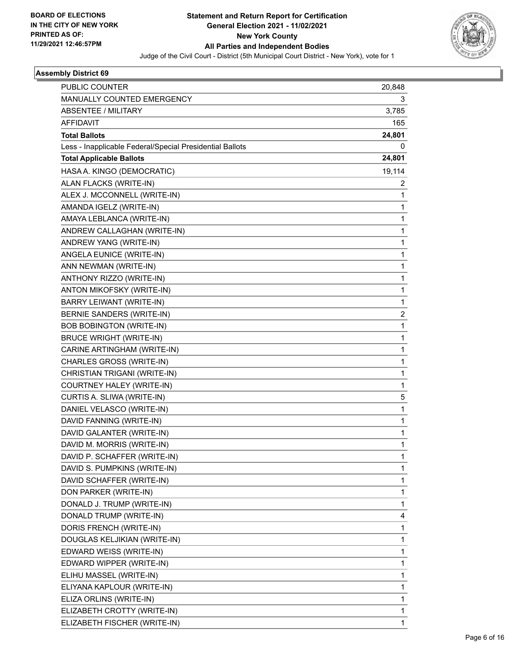

| PUBLIC COUNTER                                           | 20,848                  |
|----------------------------------------------------------|-------------------------|
| MANUALLY COUNTED EMERGENCY                               | 3                       |
| ABSENTEE / MILITARY                                      | 3,785                   |
| <b>AFFIDAVIT</b>                                         | 165                     |
| <b>Total Ballots</b>                                     | 24,801                  |
| Less - Inapplicable Federal/Special Presidential Ballots | 0                       |
| <b>Total Applicable Ballots</b>                          | 24,801                  |
| HASA A. KINGO (DEMOCRATIC)                               | 19,114                  |
| ALAN FLACKS (WRITE-IN)                                   | 2                       |
| ALEX J. MCCONNELL (WRITE-IN)                             | 1                       |
| AMANDA IGELZ (WRITE-IN)                                  | 1                       |
| AMAYA LEBLANCA (WRITE-IN)                                | 1                       |
| ANDREW CALLAGHAN (WRITE-IN)                              | 1                       |
| ANDREW YANG (WRITE-IN)                                   | 1                       |
| ANGELA EUNICE (WRITE-IN)                                 | 1                       |
| ANN NEWMAN (WRITE-IN)                                    | 1                       |
| ANTHONY RIZZO (WRITE-IN)                                 | 1                       |
| ANTON MIKOFSKY (WRITE-IN)                                | 1                       |
| <b>BARRY LEIWANT (WRITE-IN)</b>                          | 1                       |
| <b>BERNIE SANDERS (WRITE-IN)</b>                         | $\overline{\mathbf{c}}$ |
| <b>BOB BOBINGTON (WRITE-IN)</b>                          | 1                       |
| <b>BRUCE WRIGHT (WRITE-IN)</b>                           | 1                       |
| CARINE ARTINGHAM (WRITE-IN)                              | 1                       |
| CHARLES GROSS (WRITE-IN)                                 | 1                       |
| CHRISTIAN TRIGANI (WRITE-IN)                             | 1                       |
| COURTNEY HALEY (WRITE-IN)                                | $\mathbf{1}$            |
| CURTIS A. SLIWA (WRITE-IN)                               | 5                       |
| DANIEL VELASCO (WRITE-IN)                                | 1                       |
| DAVID FANNING (WRITE-IN)                                 | 1                       |
| DAVID GALANTER (WRITE-IN)                                | 1                       |
| DAVID M. MORRIS (WRITE-IN)                               | 1                       |
| DAVID P. SCHAFFER (WRITE-IN)                             | 1                       |
| DAVID S. PUMPKINS (WRITE-IN)                             | 1                       |
| DAVID SCHAFFER (WRITE-IN)                                | 1                       |
| DON PARKER (WRITE-IN)                                    | 1                       |
| DONALD J. TRUMP (WRITE-IN)                               | 1                       |
| DONALD TRUMP (WRITE-IN)                                  | 4                       |
| DORIS FRENCH (WRITE-IN)                                  | 1                       |
| DOUGLAS KELJIKIAN (WRITE-IN)                             | 1                       |
| EDWARD WEISS (WRITE-IN)                                  | 1                       |
| EDWARD WIPPER (WRITE-IN)                                 | 1                       |
| ELIHU MASSEL (WRITE-IN)                                  | 1                       |
| ELIYANA KAPLOUR (WRITE-IN)                               | 1                       |
| ELIZA ORLINS (WRITE-IN)                                  | 1                       |
| ELIZABETH CROTTY (WRITE-IN)                              | 1                       |
| ELIZABETH FISCHER (WRITE-IN)                             | 1                       |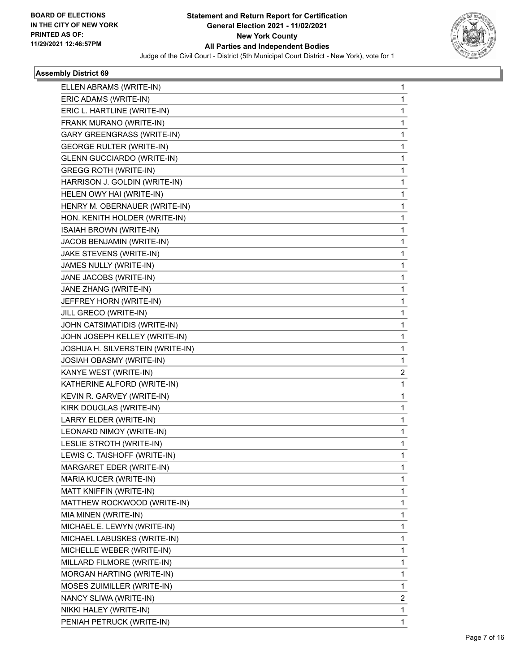

| ELLEN ABRAMS (WRITE-IN)           | 1            |
|-----------------------------------|--------------|
| ERIC ADAMS (WRITE-IN)             | 1            |
| ERIC L. HARTLINE (WRITE-IN)       | 1            |
| FRANK MURANO (WRITE-IN)           | 1            |
| <b>GARY GREENGRASS (WRITE-IN)</b> | 1            |
| <b>GEORGE RULTER (WRITE-IN)</b>   | 1            |
| <b>GLENN GUCCIARDO (WRITE-IN)</b> | 1            |
| <b>GREGG ROTH (WRITE-IN)</b>      | 1            |
| HARRISON J. GOLDIN (WRITE-IN)     | 1            |
| HELEN OWY HAI (WRITE-IN)          | 1            |
| HENRY M. OBERNAUER (WRITE-IN)     | 1            |
| HON. KENITH HOLDER (WRITE-IN)     | 1            |
| ISAIAH BROWN (WRITE-IN)           | 1            |
| JACOB BENJAMIN (WRITE-IN)         | 1            |
| JAKE STEVENS (WRITE-IN)           | 1            |
| JAMES NULLY (WRITE-IN)            | 1            |
| JANE JACOBS (WRITE-IN)            | 1            |
| JANE ZHANG (WRITE-IN)             | 1            |
| JEFFREY HORN (WRITE-IN)           | 1            |
| JILL GRECO (WRITE-IN)             | 1            |
| JOHN CATSIMATIDIS (WRITE-IN)      | 1            |
| JOHN JOSEPH KELLEY (WRITE-IN)     | 1            |
| JOSHUA H. SILVERSTEIN (WRITE-IN)  | 1            |
| <b>JOSIAH OBASMY (WRITE-IN)</b>   | 1            |
| KANYE WEST (WRITE-IN)             | 2            |
| KATHERINE ALFORD (WRITE-IN)       | $\mathbf{1}$ |
| KEVIN R. GARVEY (WRITE-IN)        | 1            |
| KIRK DOUGLAS (WRITE-IN)           | 1            |
| LARRY ELDER (WRITE-IN)            | 1            |
| LEONARD NIMOY (WRITE-IN)          | 1            |
| LESLIE STROTH (WRITE-IN)          | 1            |
| LEWIS C. TAISHOFF (WRITE-IN)      | 1            |
| MARGARET EDER (WRITE-IN)          | 1            |
| MARIA KUCER (WRITE-IN)            | 1            |
| MATT KNIFFIN (WRITE-IN)           | 1            |
| MATTHEW ROCKWOOD (WRITE-IN)       | 1            |
| MIA MINEN (WRITE-IN)              | 1            |
| MICHAEL E. LEWYN (WRITE-IN)       | 1            |
| MICHAEL LABUSKES (WRITE-IN)       | 1            |
| MICHELLE WEBER (WRITE-IN)         | 1            |
| MILLARD FILMORE (WRITE-IN)        | 1            |
| MORGAN HARTING (WRITE-IN)         | 1            |
| MOSES ZUIMILLER (WRITE-IN)        | 1            |
| NANCY SLIWA (WRITE-IN)            | 2            |
| NIKKI HALEY (WRITE-IN)            | 1            |
| PENIAH PETRUCK (WRITE-IN)         | 1            |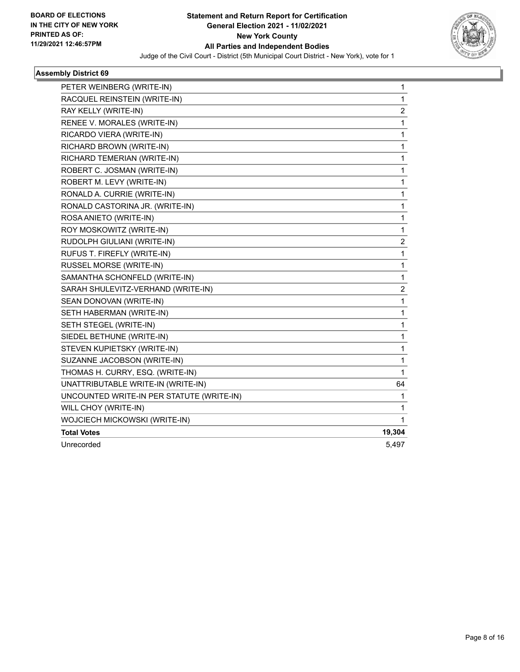

| PETER WEINBERG (WRITE-IN)                 | 1                       |
|-------------------------------------------|-------------------------|
| RACQUEL REINSTEIN (WRITE-IN)              | $\mathbf{1}$            |
| RAY KELLY (WRITE-IN)                      | $\overline{2}$          |
| RENEE V. MORALES (WRITE-IN)               | 1                       |
| RICARDO VIERA (WRITE-IN)                  | 1                       |
| RICHARD BROWN (WRITE-IN)                  | 1                       |
| RICHARD TEMERIAN (WRITE-IN)               | 1                       |
| ROBERT C. JOSMAN (WRITE-IN)               | 1                       |
| ROBERT M. LEVY (WRITE-IN)                 | 1                       |
| RONALD A. CURRIE (WRITE-IN)               | 1                       |
| RONALD CASTORINA JR. (WRITE-IN)           | 1                       |
| ROSA ANIETO (WRITE-IN)                    | 1                       |
| ROY MOSKOWITZ (WRITE-IN)                  | 1                       |
| RUDOLPH GIULIANI (WRITE-IN)               | $\overline{\mathbf{c}}$ |
| RUFUS T. FIREFLY (WRITE-IN)               | $\mathbf{1}$            |
| RUSSEL MORSE (WRITE-IN)                   | 1                       |
| SAMANTHA SCHONFELD (WRITE-IN)             | 1                       |
| SARAH SHULEVITZ-VERHAND (WRITE-IN)        | $\overline{c}$          |
| SEAN DONOVAN (WRITE-IN)                   | 1                       |
| SETH HABERMAN (WRITE-IN)                  | 1                       |
| SETH STEGEL (WRITE-IN)                    | 1                       |
| SIEDEL BETHUNE (WRITE-IN)                 | 1                       |
| STEVEN KUPIETSKY (WRITE-IN)               | 1                       |
| SUZANNE JACOBSON (WRITE-IN)               | 1                       |
| THOMAS H. CURRY, ESQ. (WRITE-IN)          | 1                       |
| UNATTRIBUTABLE WRITE-IN (WRITE-IN)        | 64                      |
| UNCOUNTED WRITE-IN PER STATUTE (WRITE-IN) | 1                       |
| WILL CHOY (WRITE-IN)                      | 1                       |
| WOJCIECH MICKOWSKI (WRITE-IN)             | 1                       |
| <b>Total Votes</b>                        | 19,304                  |
| Unrecorded                                | 5,497                   |
|                                           |                         |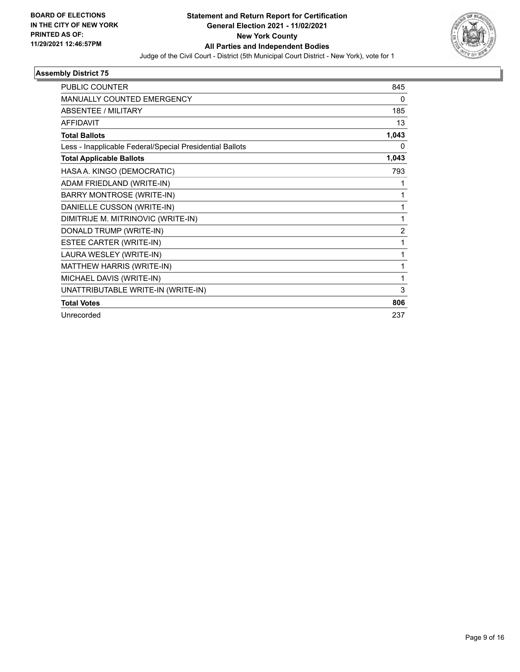

| <b>PUBLIC COUNTER</b>                                    | 845            |
|----------------------------------------------------------|----------------|
| <b>MANUALLY COUNTED EMERGENCY</b>                        | 0              |
| <b>ABSENTEE / MILITARY</b>                               | 185            |
| <b>AFFIDAVIT</b>                                         | 13             |
| <b>Total Ballots</b>                                     | 1,043          |
| Less - Inapplicable Federal/Special Presidential Ballots | 0              |
| <b>Total Applicable Ballots</b>                          | 1,043          |
| HASA A. KINGO (DEMOCRATIC)                               | 793            |
| ADAM FRIEDLAND (WRITE-IN)                                | 1              |
| <b>BARRY MONTROSE (WRITE-IN)</b>                         | 1              |
| DANIELLE CUSSON (WRITE-IN)                               | 1              |
| DIMITRIJE M. MITRINOVIC (WRITE-IN)                       | 1              |
| DONALD TRUMP (WRITE-IN)                                  | $\overline{2}$ |
| ESTEE CARTER (WRITE-IN)                                  | 1              |
| LAURA WESLEY (WRITE-IN)                                  | 1              |
| MATTHEW HARRIS (WRITE-IN)                                | 1              |
| MICHAEL DAVIS (WRITE-IN)                                 | 1              |
| UNATTRIBUTABLE WRITE-IN (WRITE-IN)                       | 3              |
| <b>Total Votes</b>                                       | 806            |
| Unrecorded                                               | 237            |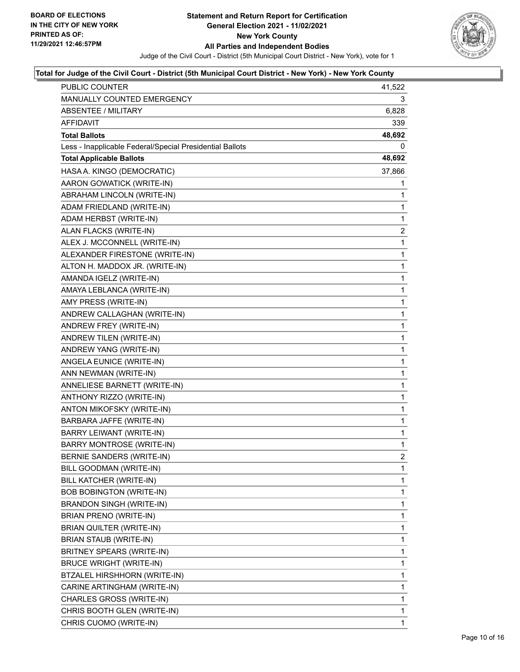

| <b>PUBLIC COUNTER</b>                                    | 41,522         |
|----------------------------------------------------------|----------------|
| MANUALLY COUNTED EMERGENCY                               | 3.             |
| <b>ABSENTEE / MILITARY</b>                               | 6,828          |
| AFFIDAVIT                                                | 339            |
| <b>Total Ballots</b>                                     | 48,692         |
| Less - Inapplicable Federal/Special Presidential Ballots | 0              |
| <b>Total Applicable Ballots</b>                          | 48,692         |
| HASA A. KINGO (DEMOCRATIC)                               | 37,866         |
| AARON GOWATICK (WRITE-IN)                                | 1              |
| ABRAHAM LINCOLN (WRITE-IN)                               | 1              |
| ADAM FRIEDLAND (WRITE-IN)                                | 1              |
| ADAM HERBST (WRITE-IN)                                   | $\mathbf{1}$   |
| ALAN FLACKS (WRITE-IN)                                   | $\overline{2}$ |
| ALEX J. MCCONNELL (WRITE-IN)                             | 1              |
| ALEXANDER FIRESTONE (WRITE-IN)                           | 1              |
| ALTON H. MADDOX JR. (WRITE-IN)                           | 1              |
| AMANDA IGELZ (WRITE-IN)                                  | 1              |
| AMAYA LEBLANCA (WRITE-IN)                                | $\mathbf{1}$   |
| AMY PRESS (WRITE-IN)                                     | 1              |
| ANDREW CALLAGHAN (WRITE-IN)                              | $\mathbf{1}$   |
| ANDREW FREY (WRITE-IN)                                   | 1              |
| ANDREW TILEN (WRITE-IN)                                  | 1              |
| ANDREW YANG (WRITE-IN)                                   | 1              |
| ANGELA EUNICE (WRITE-IN)                                 | $\mathbf{1}$   |
| ANN NEWMAN (WRITE-IN)                                    | 1              |
| ANNELIESE BARNETT (WRITE-IN)                             | $\mathbf{1}$   |
| ANTHONY RIZZO (WRITE-IN)                                 | 1              |
| ANTON MIKOFSKY (WRITE-IN)                                | 1              |
| BARBARA JAFFE (WRITE-IN)                                 | 1              |
| BARRY LEIWANT (WRITE-IN)                                 | $\mathbf{1}$   |
| <b>BARRY MONTROSE (WRITE-IN)</b>                         | 1              |
| BERNIE SANDERS (WRITE-IN)                                | $\overline{c}$ |
| BILL GOODMAN (WRITE-IN)                                  | 1              |
| BILL KATCHER (WRITE-IN)                                  | 1              |
| <b>BOB BOBINGTON (WRITE-IN)</b>                          | 1              |
| BRANDON SINGH (WRITE-IN)                                 | 1              |
| BRIAN PRENO (WRITE-IN)                                   | 1              |
| BRIAN QUILTER (WRITE-IN)                                 | 1              |
| BRIAN STAUB (WRITE-IN)                                   | 1              |
| BRITNEY SPEARS (WRITE-IN)                                | 1              |
| <b>BRUCE WRIGHT (WRITE-IN)</b>                           | 1              |
| BTZALEL HIRSHHORN (WRITE-IN)                             | 1              |
| CARINE ARTINGHAM (WRITE-IN)                              | 1              |
| CHARLES GROSS (WRITE-IN)                                 | 1              |
| CHRIS BOOTH GLEN (WRITE-IN)                              | $\mathbf{1}$   |
| CHRIS CUOMO (WRITE-IN)                                   | 1              |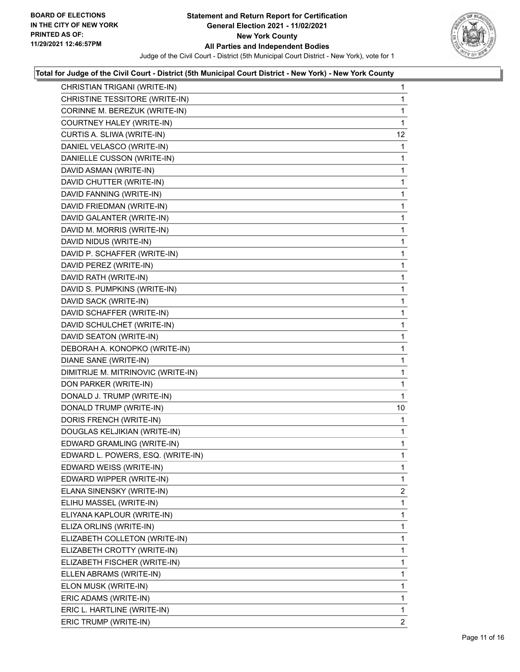

| CHRISTIAN TRIGANI (WRITE-IN)       | $\mathbf{1}$   |
|------------------------------------|----------------|
| CHRISTINE TESSITORE (WRITE-IN)     | 1              |
| CORINNE M. BEREZUK (WRITE-IN)      | 1              |
| COURTNEY HALEY (WRITE-IN)          | 1              |
| CURTIS A. SLIWA (WRITE-IN)         | 12             |
| DANIEL VELASCO (WRITE-IN)          | 1              |
| DANIELLE CUSSON (WRITE-IN)         | 1              |
| DAVID ASMAN (WRITE-IN)             | 1              |
| DAVID CHUTTER (WRITE-IN)           | 1              |
| DAVID FANNING (WRITE-IN)           | 1              |
| DAVID FRIEDMAN (WRITE-IN)          | 1              |
| DAVID GALANTER (WRITE-IN)          | 1              |
| DAVID M. MORRIS (WRITE-IN)         | 1              |
| DAVID NIDUS (WRITE-IN)             | 1              |
| DAVID P. SCHAFFER (WRITE-IN)       | 1              |
| DAVID PEREZ (WRITE-IN)             | 1              |
| DAVID RATH (WRITE-IN)              | 1              |
| DAVID S. PUMPKINS (WRITE-IN)       | 1              |
| DAVID SACK (WRITE-IN)              | 1              |
| DAVID SCHAFFER (WRITE-IN)          | 1              |
| DAVID SCHULCHET (WRITE-IN)         | 1              |
| DAVID SEATON (WRITE-IN)            | 1              |
| DEBORAH A. KONOPKO (WRITE-IN)      | 1              |
| DIANE SANE (WRITE-IN)              | 1              |
| DIMITRIJE M. MITRINOVIC (WRITE-IN) | 1              |
| DON PARKER (WRITE-IN)              | 1              |
| DONALD J. TRUMP (WRITE-IN)         | 1              |
| DONALD TRUMP (WRITE-IN)            | 10             |
| DORIS FRENCH (WRITE-IN)            | 1              |
| DOUGLAS KELJIKIAN (WRITE-IN)       | 1              |
| EDWARD GRAMLING (WRITE-IN)         | 1              |
| EDWARD L. POWERS, ESQ. (WRITE-IN)  | 1              |
| EDWARD WEISS (WRITE-IN)            | 1              |
| EDWARD WIPPER (WRITE-IN)           | 1              |
| ELANA SINENSKY (WRITE-IN)          | $\overline{2}$ |
| ELIHU MASSEL (WRITE-IN)            | 1              |
| ELIYANA KAPLOUR (WRITE-IN)         | 1              |
| ELIZA ORLINS (WRITE-IN)            | 1              |
| ELIZABETH COLLETON (WRITE-IN)      | 1              |
| ELIZABETH CROTTY (WRITE-IN)        | 1              |
| ELIZABETH FISCHER (WRITE-IN)       | 1              |
| ELLEN ABRAMS (WRITE-IN)            | 1              |
| ELON MUSK (WRITE-IN)               | 1              |
| ERIC ADAMS (WRITE-IN)              | 1              |
| ERIC L. HARTLINE (WRITE-IN)        | 1              |
| ERIC TRUMP (WRITE-IN)              | 2              |
|                                    |                |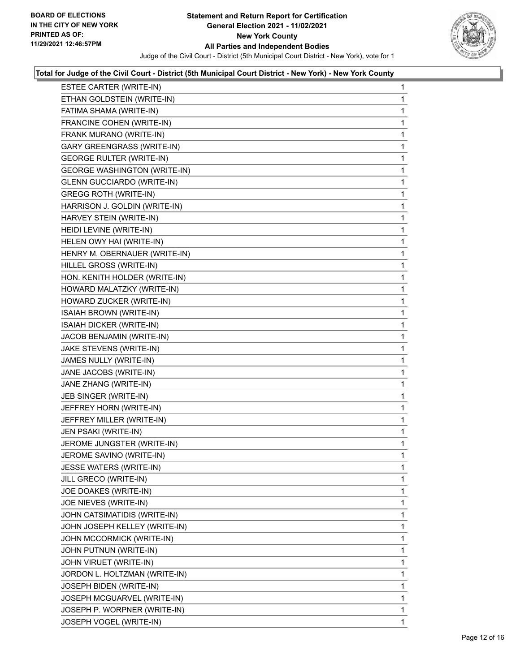

| ESTEE CARTER (WRITE-IN)             | 1 |
|-------------------------------------|---|
| ETHAN GOLDSTEIN (WRITE-IN)          | 1 |
| FATIMA SHAMA (WRITE-IN)             | 1 |
| FRANCINE COHEN (WRITE-IN)           | 1 |
| FRANK MURANO (WRITE-IN)             | 1 |
| GARY GREENGRASS (WRITE-IN)          | 1 |
| <b>GEORGE RULTER (WRITE-IN)</b>     | 1 |
| <b>GEORGE WASHINGTON (WRITE-IN)</b> | 1 |
| <b>GLENN GUCCIARDO (WRITE-IN)</b>   | 1 |
| <b>GREGG ROTH (WRITE-IN)</b>        | 1 |
| HARRISON J. GOLDIN (WRITE-IN)       | 1 |
| HARVEY STEIN (WRITE-IN)             | 1 |
| HEIDI LEVINE (WRITE-IN)             | 1 |
| HELEN OWY HAI (WRITE-IN)            | 1 |
| HENRY M. OBERNAUER (WRITE-IN)       | 1 |
| HILLEL GROSS (WRITE-IN)             | 1 |
| HON. KENITH HOLDER (WRITE-IN)       | 1 |
| HOWARD MALATZKY (WRITE-IN)          | 1 |
| HOWARD ZUCKER (WRITE-IN)            | 1 |
| ISAIAH BROWN (WRITE-IN)             | 1 |
| ISAIAH DICKER (WRITE-IN)            | 1 |
| JACOB BENJAMIN (WRITE-IN)           | 1 |
| JAKE STEVENS (WRITE-IN)             | 1 |
| JAMES NULLY (WRITE-IN)              | 1 |
| JANE JACOBS (WRITE-IN)              | 1 |
| JANE ZHANG (WRITE-IN)               | 1 |
| JEB SINGER (WRITE-IN)               | 1 |
| JEFFREY HORN (WRITE-IN)             | 1 |
| JEFFREY MILLER (WRITE-IN)           | 1 |
| JEN PSAKI (WRITE-IN)                | 1 |
| JEROME JUNGSTER (WRITE-IN)          | 1 |
| JEROME SAVINO (WRITE-IN)            | 1 |
| JESSE WATERS (WRITE-IN)             | 1 |
| JILL GRECO (WRITE-IN)               | 1 |
| JOE DOAKES (WRITE-IN)               | 1 |
| JOE NIEVES (WRITE-IN)               | 1 |
| JOHN CATSIMATIDIS (WRITE-IN)        | 1 |
| JOHN JOSEPH KELLEY (WRITE-IN)       | 1 |
| JOHN MCCORMICK (WRITE-IN)           | 1 |
| JOHN PUTNUN (WRITE-IN)              | 1 |
| JOHN VIRUET (WRITE-IN)              | 1 |
| JORDON L. HOLTZMAN (WRITE-IN)       | 1 |
| JOSEPH BIDEN (WRITE-IN)             | 1 |
| JOSEPH MCGUARVEL (WRITE-IN)         | 1 |
| JOSEPH P. WORPNER (WRITE-IN)        | 1 |
| JOSEPH VOGEL (WRITE-IN)             | 1 |
|                                     |   |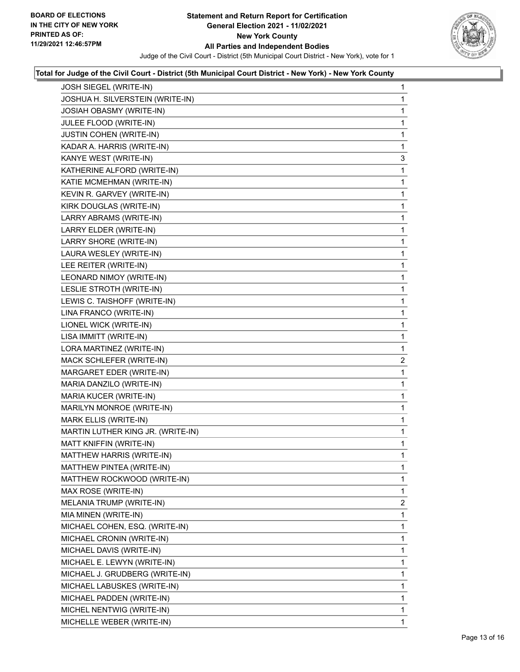

| JOSH SIEGEL (WRITE-IN)            | $\mathbf{1}$   |
|-----------------------------------|----------------|
| JOSHUA H. SILVERSTEIN (WRITE-IN)  | 1              |
| <b>JOSIAH OBASMY (WRITE-IN)</b>   | 1              |
| JULEE FLOOD (WRITE-IN)            | 1              |
| <b>JUSTIN COHEN (WRITE-IN)</b>    | 1              |
| KADAR A. HARRIS (WRITE-IN)        | 1              |
| KANYE WEST (WRITE-IN)             | 3              |
| KATHERINE ALFORD (WRITE-IN)       | 1              |
| KATIE MCMEHMAN (WRITE-IN)         | 1              |
| KEVIN R. GARVEY (WRITE-IN)        | 1              |
| KIRK DOUGLAS (WRITE-IN)           | 1              |
| LARRY ABRAMS (WRITE-IN)           | 1              |
| LARRY ELDER (WRITE-IN)            | 1              |
| LARRY SHORE (WRITE-IN)            | 1              |
| LAURA WESLEY (WRITE-IN)           | 1              |
| LEE REITER (WRITE-IN)             | 1              |
| LEONARD NIMOY (WRITE-IN)          | 1              |
| LESLIE STROTH (WRITE-IN)          | 1              |
| LEWIS C. TAISHOFF (WRITE-IN)      | 1              |
| LINA FRANCO (WRITE-IN)            | 1              |
| LIONEL WICK (WRITE-IN)            | 1              |
| LISA IMMITT (WRITE-IN)            | 1              |
| LORA MARTINEZ (WRITE-IN)          | 1              |
| MACK SCHLEFER (WRITE-IN)          | $\overline{2}$ |
| MARGARET EDER (WRITE-IN)          | 1              |
| MARIA DANZILO (WRITE-IN)          | 1              |
| MARIA KUCER (WRITE-IN)            | 1              |
| MARILYN MONROE (WRITE-IN)         | 1              |
| MARK ELLIS (WRITE-IN)             | 1              |
| MARTIN LUTHER KING JR. (WRITE-IN) | 1              |
| MATT KNIFFIN (WRITE-IN)           | 1              |
| MATTHEW HARRIS (WRITE-IN)         | 1              |
| MATTHEW PINTEA (WRITE-IN)         | 1              |
| MATTHEW ROCKWOOD (WRITE-IN)       | 1              |
| MAX ROSE (WRITE-IN)               | 1              |
| MELANIA TRUMP (WRITE-IN)          | 2              |
| MIA MINEN (WRITE-IN)              | 1              |
| MICHAEL COHEN, ESQ. (WRITE-IN)    | 1              |
| MICHAEL CRONIN (WRITE-IN)         | 1              |
| MICHAEL DAVIS (WRITE-IN)          | 1              |
| MICHAEL E. LEWYN (WRITE-IN)       | 1              |
| MICHAEL J. GRUDBERG (WRITE-IN)    | 1              |
| MICHAEL LABUSKES (WRITE-IN)       | 1              |
| MICHAEL PADDEN (WRITE-IN)         | 1              |
| MICHEL NENTWIG (WRITE-IN)         | 1              |
| MICHELLE WEBER (WRITE-IN)         | 1.             |
|                                   |                |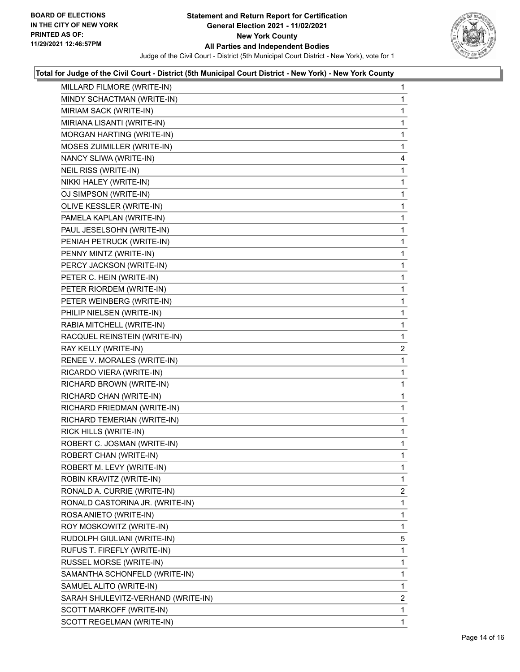

| MILLARD FILMORE (WRITE-IN)         | 1              |
|------------------------------------|----------------|
| MINDY SCHACTMAN (WRITE-IN)         | 1              |
| MIRIAM SACK (WRITE-IN)             | 1              |
| MIRIANA LISANTI (WRITE-IN)         | 1              |
| MORGAN HARTING (WRITE-IN)          | 1              |
| MOSES ZUIMILLER (WRITE-IN)         | 1              |
| NANCY SLIWA (WRITE-IN)             | 4              |
| NEIL RISS (WRITE-IN)               | 1              |
| NIKKI HALEY (WRITE-IN)             | 1              |
| OJ SIMPSON (WRITE-IN)              | 1              |
| OLIVE KESSLER (WRITE-IN)           | 1              |
| PAMELA KAPLAN (WRITE-IN)           | $\mathbf{1}$   |
| PAUL JESELSOHN (WRITE-IN)          | 1              |
| PENIAH PETRUCK (WRITE-IN)          | 1              |
| PENNY MINTZ (WRITE-IN)             | 1              |
| PERCY JACKSON (WRITE-IN)           | 1              |
| PETER C. HEIN (WRITE-IN)           | 1              |
| PETER RIORDEM (WRITE-IN)           | $\mathbf{1}$   |
| PETER WEINBERG (WRITE-IN)          | 1              |
| PHILIP NIELSEN (WRITE-IN)          | 1              |
| RABIA MITCHELL (WRITE-IN)          | 1              |
| RACQUEL REINSTEIN (WRITE-IN)       | 1              |
| RAY KELLY (WRITE-IN)               | $\overline{2}$ |
| RENEE V. MORALES (WRITE-IN)        | $\mathbf{1}$   |
| RICARDO VIERA (WRITE-IN)           | 1              |
| RICHARD BROWN (WRITE-IN)           | 1              |
| RICHARD CHAN (WRITE-IN)            | 1              |
| RICHARD FRIEDMAN (WRITE-IN)        | 1              |
| RICHARD TEMERIAN (WRITE-IN)        | 1              |
| RICK HILLS (WRITE-IN)              | $\mathbf{1}$   |
| ROBERT C. JOSMAN (WRITE-IN)        | 1              |
| ROBERT CHAN (WRITE-IN)             | $\mathbf{1}$   |
| ROBERT M. LEVY (WRITE-IN)          | 1              |
| ROBIN KRAVITZ (WRITE-IN)           | 1              |
| RONALD A. CURRIE (WRITE-IN)        | $\overline{2}$ |
| RONALD CASTORINA JR. (WRITE-IN)    | 1              |
| ROSA ANIETO (WRITE-IN)             | 1              |
| ROY MOSKOWITZ (WRITE-IN)           | 1              |
| RUDOLPH GIULIANI (WRITE-IN)        | 5              |
| RUFUS T. FIREFLY (WRITE-IN)        | 1              |
| RUSSEL MORSE (WRITE-IN)            | 1              |
| SAMANTHA SCHONFELD (WRITE-IN)      | 1              |
| SAMUEL ALITO (WRITE-IN)            | 1              |
| SARAH SHULEVITZ-VERHAND (WRITE-IN) | $\overline{2}$ |
| SCOTT MARKOFF (WRITE-IN)           | 1              |
| SCOTT REGELMAN (WRITE-IN)          | 1              |
|                                    |                |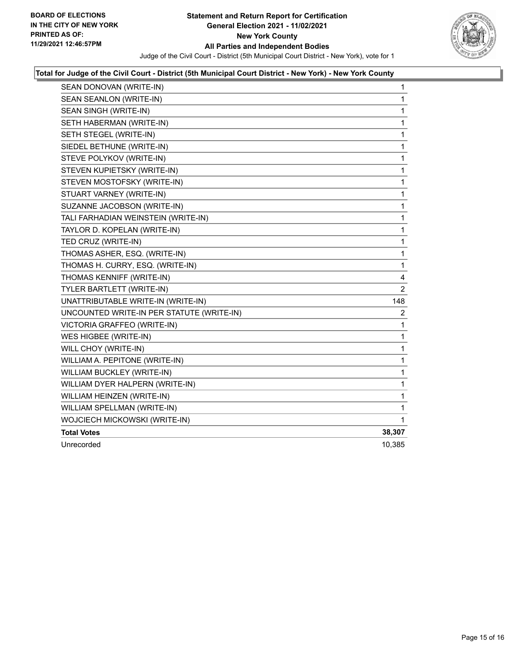

| SEAN DONOVAN (WRITE-IN)                   | $\mathbf{1}$   |
|-------------------------------------------|----------------|
| SEAN SEANLON (WRITE-IN)                   | 1              |
| SEAN SINGH (WRITE-IN)                     | 1              |
| SETH HABERMAN (WRITE-IN)                  | 1              |
| SETH STEGEL (WRITE-IN)                    | 1              |
| SIEDEL BETHUNE (WRITE-IN)                 | 1              |
| STEVE POLYKOV (WRITE-IN)                  | 1              |
| STEVEN KUPIETSKY (WRITE-IN)               | 1              |
| STEVEN MOSTOFSKY (WRITE-IN)               | 1              |
| STUART VARNEY (WRITE-IN)                  | 1              |
| SUZANNE JACOBSON (WRITE-IN)               | 1              |
| TALI FARHADIAN WEINSTEIN (WRITE-IN)       | 1              |
| TAYLOR D. KOPELAN (WRITE-IN)              | 1              |
| TED CRUZ (WRITE-IN)                       | 1              |
| THOMAS ASHER, ESQ. (WRITE-IN)             | 1              |
| THOMAS H. CURRY, ESQ. (WRITE-IN)          | 1              |
| THOMAS KENNIFF (WRITE-IN)                 | 4              |
| TYLER BARTLETT (WRITE-IN)                 | $\overline{2}$ |
| UNATTRIBUTABLE WRITE-IN (WRITE-IN)        | 148            |
| UNCOUNTED WRITE-IN PER STATUTE (WRITE-IN) | 2              |
| VICTORIA GRAFFEO (WRITE-IN)               | 1              |
| WES HIGBEE (WRITE-IN)                     | 1              |
| WILL CHOY (WRITE-IN)                      | 1              |
| WILLIAM A. PEPITONE (WRITE-IN)            | 1              |
| WILLIAM BUCKLEY (WRITE-IN)                | 1              |
| WILLIAM DYER HALPERN (WRITE-IN)           | 1              |
| WILLIAM HEINZEN (WRITE-IN)                | 1              |
| WILLIAM SPELLMAN (WRITE-IN)               | 1              |
| WOJCIECH MICKOWSKI (WRITE-IN)             | 1              |
| <b>Total Votes</b>                        | 38,307         |
| Unrecorded                                | 10,385         |
|                                           |                |